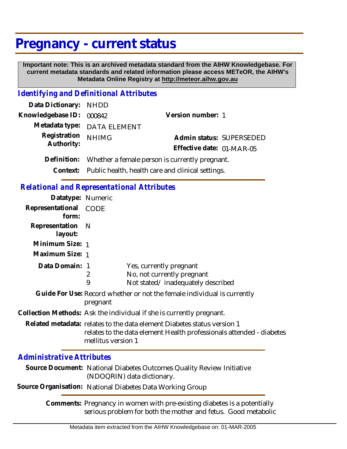## **Pregnancy - current status**

 **Important note: This is an archived metadata standard from the AIHW Knowledgebase. For current metadata standards and related information please access METeOR, the AIHW's Metadata Online Registry at http://meteor.aihw.gov.au**

## *Identifying and Definitional Attributes*

| Data Dictionary: NHDD |                                                            |                           |                          |
|-----------------------|------------------------------------------------------------|---------------------------|--------------------------|
| Knowledgebase ID:     | 000842                                                     | Version number: 1         |                          |
|                       | Metadata type: DATA ELEMENT                                |                           |                          |
| Registration          | <b>NHIMG</b>                                               |                           | Admin status: SUPERSEDED |
| Authority:            |                                                            | Effective date: 01-MAR-05 |                          |
| Definition:           | Whether a female person is currently pregnant.             |                           |                          |
|                       | Context: Public health, health care and clinical settings. |                           |                          |

*Relational and Representational Attributes*

| Datatype: Numeric         |                                                                                                                                                                       |                                                                                            |  |
|---------------------------|-----------------------------------------------------------------------------------------------------------------------------------------------------------------------|--------------------------------------------------------------------------------------------|--|
| Representational<br>form: | CODE                                                                                                                                                                  |                                                                                            |  |
| Representation<br>layout: | - N                                                                                                                                                                   |                                                                                            |  |
| Minimum Size: 1           |                                                                                                                                                                       |                                                                                            |  |
| Maximum Size: 1           |                                                                                                                                                                       |                                                                                            |  |
| Data Domain: 1            | 2<br>9                                                                                                                                                                | Yes, currently pregnant<br>No, not currently pregnant<br>Not stated/inadequately described |  |
|                           | pregnant                                                                                                                                                              | Guide For Use: Record whether or not the female individual is currently                    |  |
|                           | Collection Methods: Ask the individual if she is currently pregnant.                                                                                                  |                                                                                            |  |
|                           | Related metadata: relates to the data element Diabetes status version 1<br>relates to the data element Health professionals attended - diabetes<br>mellitus version 1 |                                                                                            |  |
| Administrative Attributes |                                                                                                                                                                       |                                                                                            |  |

## *Administrative Attributes*

Source Document: National Diabetes Outcomes Quality Review Initiative (NDOQRIN) data dictionary.

**Source Organisation:** National Diabetes Data Working Group

Comments: Pregnancy in women with pre-existing diabetes is a potentially serious problem for both the mother and fetus. Good metabolic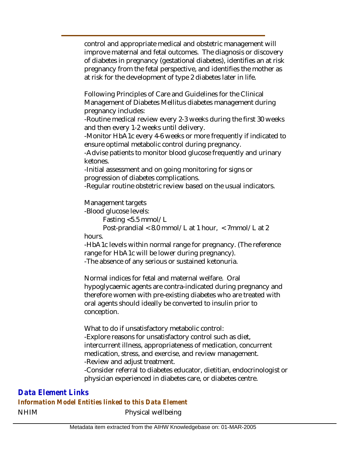control and appropriate medical and obstetric management will improve maternal and fetal outcomes. The diagnosis or discovery of diabetes in pregnancy (gestational diabetes), identifies an at risk pregnancy from the fetal perspective, and identifies the mother as at risk for the development of type 2 diabetes later in life.

Following Principles of Care and Guidelines for the Clinical Management of Diabetes Mellitus diabetes management during pregnancy includes:

-Routine medical review every 2-3 weeks during the first 30 weeks and then every 1-2 weeks until delivery.

-Monitor HbA1c every 4-6 weeks or more frequently if indicated to ensure optimal metabolic control during pregnancy.

-Advise patients to monitor blood glucose frequently and urinary ketones.

-Initial assessment and on going monitoring for signs or progression of diabetes complications.

-Regular routine obstetric review based on the usual indicators.

Management targets

-Blood glucose levels:

Fasting <5.5 mmol/L

 Post-prandial < 8.0 mmol/L at 1 hour, < 7mmol/L at 2 hours.

-HbA1c levels within normal range for pregnancy. (The reference range for HbA1c will be lower during pregnancy).

-The absence of any serious or sustained ketonuria.

Normal indices for fetal and maternal welfare. Oral hypoglycaemic agents are contra-indicated during pregnancy and therefore women with pre-existing diabetes who are treated with oral agents should ideally be converted to insulin prior to conception.

What to do if unsatisfactory metabolic control: -Explore reasons for unsatisfactory control such as diet, intercurrent illness, appropriateness of medication, concurrent medication, stress, and exercise, and review management. -Review and adjust treatment.

-Consider referral to diabetes educator, dietitian, endocrinologist or physician experienced in diabetes care, or diabetes centre.

NHIM Physical wellbeing *Data Element Links Information Model Entities linked to this Data Element*